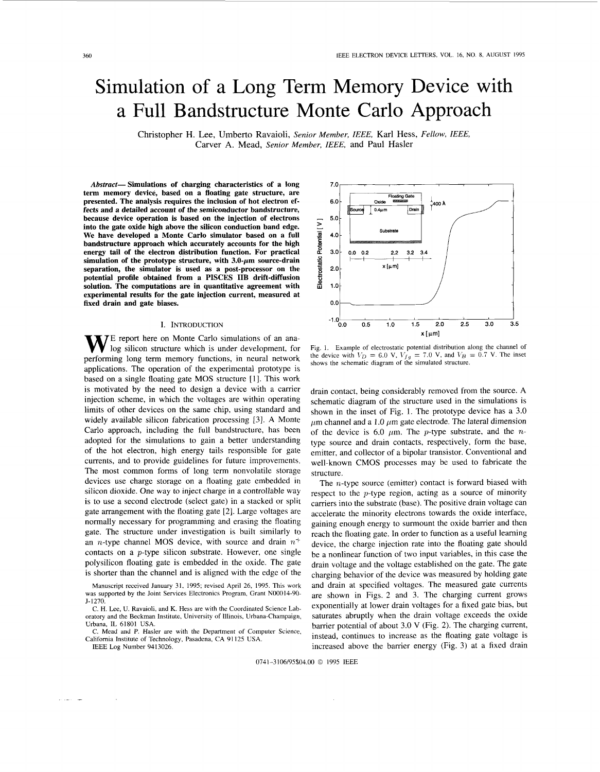# Simulation of a Long Term Memory Device with a Full Bandstructure Monte Carlo Approach

Christopher H. Lee, Umberto Ravaioli, *Senior Member, IEEE*, Karl Hess, *Fellow, IEEE*, Carver **A.** Mead, *Senior Member, IEEE,* and Paul Hasler

*Abstract-* **Simulations of charging characteristics of a long term memory device, based on a floating gate structure, are presented. The analysis requires the inclusion of hot electron effects and a detailed account of the semiconductor bandstructure, because device operation is based on the injection of electrons into the gate oxide high above the silicon conduction band edge. We have developed a Monte Carlo simulator based on a full bandstructure approach which accurately accounts for the high energy tail of the electron distribution function. For practical**  simulation of the prototype structure, with  $3.0-\mu m$  source-drain **separation, the simulator is used as a post-processor on the potential profile obtained from a PISCES IIB drift-diffusion solution. The computations are in quantitative agreement with experimental results for the gate injection current, measured at fixed drain and gate biases.** 

### I. INTRODUCTION

 $\sum_{n=1}^{\infty}$  F report here on Monte Carlo simulations of an analog silicon structure which is under development, for performing long term memory functions, in neural network applications. The operation of the experimental prototype is based on a single floating gate MOS structure [l]. This work is motivated by the need to design a device with a carrier injection scheme, in which the voltages are within operating limits of other devices on the same chip, using standard and widely available silicon fabrication processing *[3].* **A** Monte Carlo approach, including the full bandstructure, has been adopted for the simulations to gain a better understanding of the hot electron, high energy tails responsible for gate currents, and to provide guidelines for future improvements. The most common forms of long term nonvolatile storage devices use charge storage on a floating gate embedded in silicon dioxide. One way to inject charge in a controllable way is to use a second electrode (select gate) in a stacked or split gate arrangement with the floating gate *[2].* Large voltages are normally necessary for programming and erasing the floating gate. The structure under investigation is built similarly to an n-type channel MOS device, with source and drain *n+*  contacts on a p-type silicon substrate. However, one single polysilicon floating gate is embedded in the oxide. The gate is shorter than the channel and is aligned with the edge of the

IEEE Log Number 9413026.



Fig. 1. Example of electrostatic potential distribution along the channel of the device with  $V_D = 6.0 \text{ V}$ ,  $V_{fg} = 7.0 \text{ V}$ , and  $V_B = 0.7 \text{ V}$ . The inset shows the schematic diagram of the simulated structure.

drain contact, being considerably removed from the source. **A**  schematic diagram of the structure used in the simulations is shown in the inset of Fig. 1. The prototype device has a 3.0  $\mu$ m channel and a 1.0  $\mu$ m gate electrode. The lateral dimension of the device is 6.0  $\mu$ m. The p-type substrate, and the ntype source and drain contacts, respectively, form the base, emitter, and collector of a bipolar transistor. Conventional and well-known CMOS processes may be used to fabricate the structure.

The  $n$ -type source (emitter) contact is forward biased with respect to the p-type region, acting as a source of minority carriers into the substrate (base). The positive drain voltage can accelerate the minority electrons towards the oxide interface, gaining enough energy to surmount the oxide barrier and then reach the floating gate. In order to function as a useful learning device, the charge injection rate into the floating gate should be a nonlinear function of two input variables, in this case the drain voltage and the voltage established on the gate. The gate charging behavior of the device was measured by holding gate and drain at specified voltages. The measured gate currents are shown in [Figs. 2](#page-1-0) and 3. The charging current grows exponentially at lower drain voltages for a fixed gate bias, but saturates abruptly when the drain voltage exceeds the oxide barrier potential of about 3.0 V (Fig. 2). The charging current, instead, continues to increase as the floating gate voltage is increased above the barrier energy (Fig. 3) at a fixed drain

0741-3106/95%04.00 *0* 1995 IEEE

Manuscript received January 31, 1995; revised April 26, 1995. This work was supported by the Joint Services Electronics Program, Grant N00014-90- J- 1270.

C. H. Lee, U. Ravaioli, and K. Hess are with the Coordinated Science Laboratory and the Beckman Institute, University of Illinois, Urbana-Champaign, Urbana, IL 61801 **USA.** 

C. Mead and **P.** Hasler are with the Department of Computer Science, California Institute of Technology, Pasadena, CA 91 125 USA.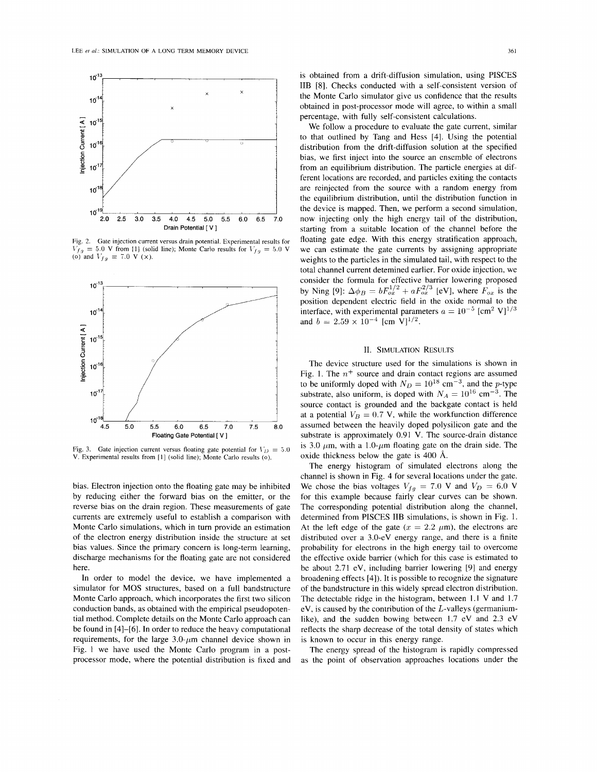<span id="page-1-0"></span>

Fig. 2. Gate injection current versus drain potential. Experimental results for  $V_{fg} = 5.0$  V from [1] (solid line); Monte Carlo results for  $V_{fg} = 5.0$  V (o) and  $V_{fg} = 7.0$  V (x).



Fig. 3. Gate injection current versus floating gate potential for  $V_D = 5.0$ V. Experimental results from [I] (solid line); Monte Carlo results *(0).* 

bias. Electron injection onto the floating gate may be inhibited by reducing either the forward bias on the emitter, or the reverse bias on the drain region. These measurements of gate currents are extremely useful to establish a comparison with Monte Carlo simulations, which in turn provide an estimation of the electron energy distribution inside the structure at set bias values. Since the primary concern is long-term learning, discharge mechanisms for the floating gate are not considered here.

In order to model the device, we have implemented a simulator for MOS structures, based on a full bandstructure Monte Carlo approach, which incorporates the first two silicon conduction bands, as obtained with the empirical pseudopotential method. Complete details on the Monte Carlo approach can be found in [4]-[6]. In order to reduce the heavy computational requirements, for the large  $3.0$ - $\mu$ m channel device shown in Fig. **1** we have used the Monte Carlo program in a postprocessor mode, where the potential distribution is fixed and

is obtained from a drift-diffusion simulation, using PISCES IIB [8]. Checks conducted with a self-consistent version of the Monte Carlo simulator give us confidence that the results obtained in post-processor mode will agree, to within a small percentage, with fully self-consistent calculations.

We follow a procedure to evaluate the gate current, similar to that outlined by Tang and Hess [4]. Using the potential distribution from the drift-diffusion solution at the specified bias, we first inject into the source an ensemble of electrons from an equilibrium distribution. The particle energies at different locations are recorded, and particles exiting the contacts are reinjected from the source with a random energy from the equilibrium distribution, until the distribution function in the device is mapped. Then, we perform a second simulation, now injecting only the high energy tail of the distribution, starting from a suitable location of the channel before the floating gate edge. With this energy stratification approach, we can estimate the gate currents by assigning appropriate weights to the particles in the simulated tail, with respect to the total channel current detemined earlier. For oxide injection, we consider the formula for effective barrier lowering proposed by Ning [9]:  $\Delta \phi_B = bF_{ox}^{1/2} + aF_{ox}^{2/3}$  [eV], where  $F_{ox}$  is the position dependent electric field in the oxide normal to the interface, with experimental parameters  $a = 10^{-5}$  [cm<sup>2</sup> V]<sup>1/3</sup> and  $b = 2.59 \times 10^{-4}$  [cm V]<sup>1/2</sup>.

## 11. SIMULATION RESULTS

The device structure used for the simulations is shown in Fig. 1. The  $n^+$  source and drain contact regions are assumed to be uniformly doped with  $N_D = 10^{18}$  cm<sup>-3</sup>, and the *p*-type substrate, also uniform, is doped with  $N_A = 10^{16}$  cm<sup>-3</sup>. The source contact is grounded and the backgate contact is held at a potential  $V_B = 0.7$  V, while the workfunction difference assumed between the heavily doped polysilicon gate and the substrate is approximately 0.91 V. The source-drain distance is 3.0  $\mu$ m, with a 1.0- $\mu$ m floating gate on the drain side. The oxide thickness below the gate is 400 A.

The energy histogram of simulated electrons along the channel is shown in [Fig. 4](#page-2-0) for several locations under the gate. We chose the bias voltages  $V_{fg} = 7.0$  V and  $V_D = 6.0$  V for this example because fairly clear curves can be shown. The corresponding potential distribution along the channel, determined from PISCES IIB simulations, is shown in Fig. 1. At the left edge of the gate  $(x = 2.2 \mu m)$ , the electrons are distributed over a 3.0-eV energy range, and there is a finite probability for electrons in the high energy tail to overcome the effective oxide barrier (which for this case is estimated to be about 2.71 eV, including barrier lowering [9] and energy broadening effects [4]). It is possible to recognize the signature of the bandstructure in this widely spread electron distribution. The detectable ridge in the histogram, between 1.1 V and 1.7  $eV$ , is caused by the contribution of the  $L$ -valleys (germaniumlike), and the sudden bowing between 1.7 eV and 2.3 eV reflects the sharp decrease of the total density of states which is known to occur in this energy range.

The energy spread of the histogram is rapidly compressed as the point of observation approaches locations under the